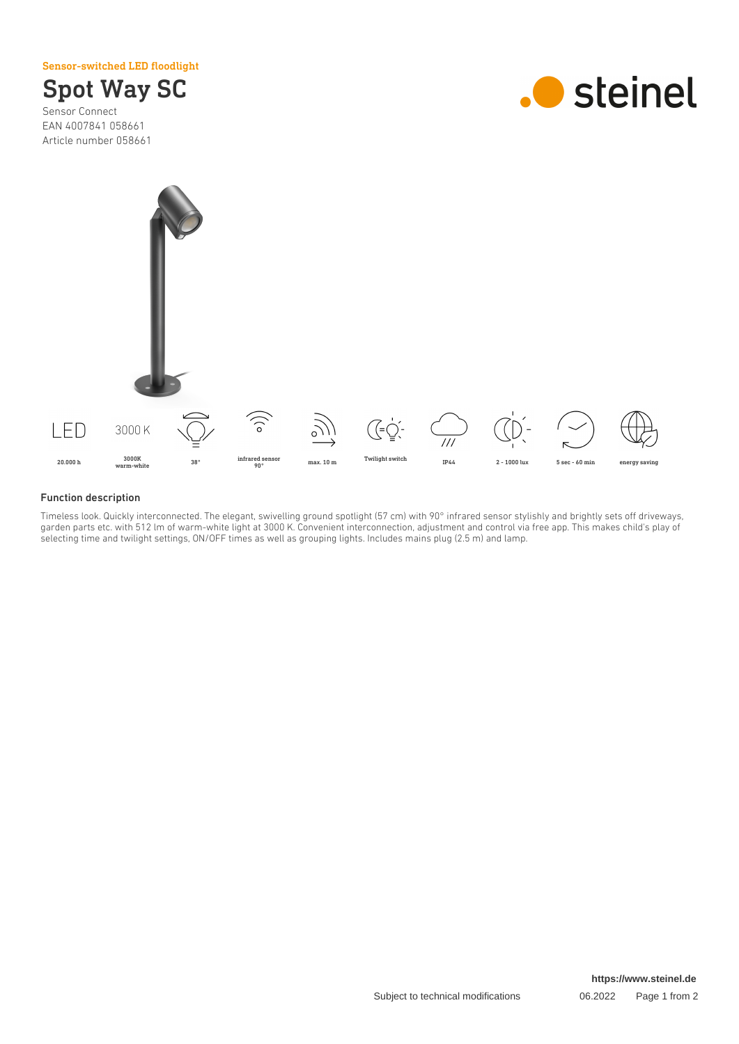Sensor-switched LED floodlight



Sensor Connect EAN 4007841 058661 Article number 058661





#### Function description

Timeless look. Quickly interconnected. The elegant, swivelling ground spotlight (57 cm) with 90° infrared sensor stylishly and brightly sets off driveways, garden parts etc. with 512 lm of warm-white light at 3000 K. Convenient interconnection, adjustment and control via free app. This makes child's play of selecting time and twilight settings, ON/OFF times as well as grouping lights. Includes mains plug (2.5 m) and lamp.